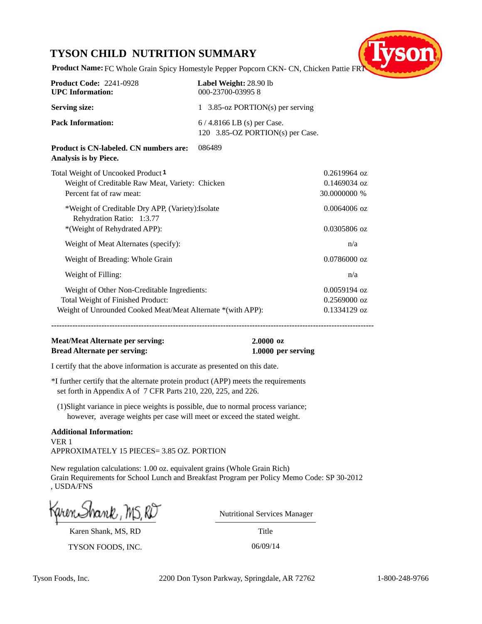# **TYSON CHILD NUTRITION SUMMARY**



**Product Name:** FC Whole Grain Spicy Homestyle Pepper Popcorn CKN- CN, Chicken Pattie FR

| <b>Product Code: 2241-0928</b><br><b>UPC</b> Information:                                                                                       | Label Weight: 28.90 lb<br>000-23700-039958                      |                                                  |
|-------------------------------------------------------------------------------------------------------------------------------------------------|-----------------------------------------------------------------|--------------------------------------------------|
| <b>Serving size:</b>                                                                                                                            | 1 3.85-oz PORTION(s) per serving                                |                                                  |
| <b>Pack Information:</b>                                                                                                                        | $6/4.8166$ LB (s) per Case.<br>120 3.85-OZ PORTION(s) per Case. |                                                  |
| Product is CN-labeled. CN numbers are:<br>Analysis is by Piece.                                                                                 | 086489                                                          |                                                  |
| Total Weight of Uncooked Product 1<br>Weight of Creditable Raw Meat, Variety: Chicken<br>Percent fat of raw meat:                               |                                                                 | $0.2619964$ oz<br>$0.1469034$ oz<br>30.0000000 % |
| *Weight of Creditable Dry APP, (Variety): Isolate<br>Rehydration Ratio: 1:3.77<br>*(Weight of Rehydrated APP):                                  |                                                                 | $0.0064006$ oz<br>0.0305806 oz                   |
| Weight of Meat Alternates (specify):                                                                                                            |                                                                 | n/a                                              |
| Weight of Breading: Whole Grain                                                                                                                 |                                                                 | $0.0786000$ oz                                   |
| Weight of Filling:                                                                                                                              |                                                                 | n/a                                              |
| Weight of Other Non-Creditable Ingredients:<br>Total Weight of Finished Product:<br>Weight of Unrounded Cooked Meat/Meat Alternate *(with APP): |                                                                 | $0.0059194$ oz<br>$0.2569000$ oz<br>0.1334129 oz |

**--------------------------------------------------------------------------------------------------------------------------**

# **Meat/Meat Alternate per serving: 2.0000 oz Bread Alternate per serving: 1.0000 per serving**

I certify that the above information is accurate as presented on this date.

\*I further certify that the alternate protein product (APP) meets the requirements set forth in Appendix A of 7 CFR Parts 210, 220, 225, and 226.

(1)Slight variance in piece weights is possible, due to normal process variance; however, average weights per case will meet or exceed the stated weight.

**Additional Information:** VER 1 APPROXIMATELY 15 PIECES= 3.85 OZ. PORTION

New regulation calculations: 1.00 oz. equivalent grains (Whole Grain Rich) Grain Requirements for School Lunch and Breakfast Program per Policy Memo Code: SP 30-2012 , USDA/FNS

Karen Shank, MS, RD

TYSON FOODS, INC. 06/09/14

**Title** Nutritional Services Manager

Tyson Foods, Inc. 2200 Don Tyson Parkway, Springdale, AR 72762 1-800-248-9766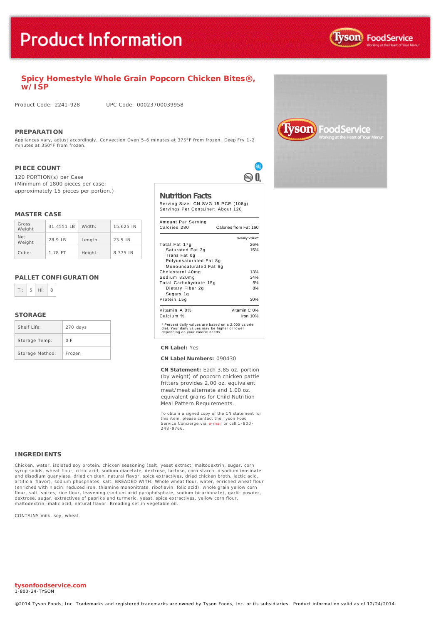

# **Spicy Homestyle Whole Grain** *Popcorn Chicken Bites***®, w/ISP**

Product Code: 2241-928 UPC Code: 00023700039958

### **PREPARATION**

Appliances vary, adjust accordingly. Convection Oven 5-6 minutes at 375°F from frozen. Deep Fry 1-2 minutes at 350°F from frozen.

## **PIECE COUNT**

120 PORTION(s) per Case (Minimum of 1800 pieces per case; approximately 15 pieces per portion.)

### **MASTER CASE**

| Gross<br>Weight      | $31.4551$ IB | Width:  | 15.625 IN |
|----------------------|--------------|---------|-----------|
| <b>Net</b><br>Weight | 28.9 LB      | Length: | 23.5 IN   |
| Cube:                | 1.78 FT      | Height: | 8.375 IN  |

## **PALLET CONFIGURATION**



## **STORAGE**

| Shelf Life:     | 270 days |
|-----------------|----------|
| Storage Temp:   | 0 F      |
| Storage Method: | Frozen   |

## **Nutrition Facts**

Serving Size: CN SVG 15 PCE (108g) Servings Per Container: About 120

**PAL** ൈ Ո

| Amount Per Serving<br>Calories 280                                                                                                        | Calories from Fat 160 |
|-------------------------------------------------------------------------------------------------------------------------------------------|-----------------------|
|                                                                                                                                           | % Daily Value*        |
| Total Fat 17g                                                                                                                             | 26%                   |
| Saturated Fat 3g                                                                                                                          | 15%                   |
| Trans Fat 0g                                                                                                                              |                       |
| Polyunsaturated Fat 8g<br>Monounsaturated Fat 6q                                                                                          |                       |
| Cholesterol 40mg                                                                                                                          | 13%                   |
| Sodium 820mg                                                                                                                              | 34%                   |
| Total Carbohydrate 15g                                                                                                                    | 5%                    |
| Dietary Fiber 2g                                                                                                                          | 8%                    |
| Sugars 1g                                                                                                                                 |                       |
| Protein 15g                                                                                                                               | 30%                   |
| Vitamin A 0%                                                                                                                              | Vitamin C 0%          |
| Calcium %                                                                                                                                 | Iron $10%$            |
| * Percent daily values are based on a 2,000 calorie<br>diet. Your daily values may be higher or lower<br>depending on your calorie needs. |                       |

#### **CN Label:** Yes

#### **CN Label Numbers:** 090430

**CN Statement:** Each 3.85 oz. portion (by weight) of popcorn chicken pattie fritters provides 2.00 oz. equivalent meat/meat alternate and 1.00 oz. equivalent grains for Child Nutrition Meal Pattern Requirements.

To obtain a signed copy of the CN statement for this item, please contact the Tyson Food Service Concierge via [e-mail](mailto:fscomments@tyson.com) or call 1-800 - 248 -9766.

#### **INGREDIENTS**

Chicken, water, isolated soy protein, chicken seasoning (salt, yeast extract, maltodextrin, sugar, corn syrup solids, wheat flour, citric acid, sodium diacetate, dextrose, lactose, corn starch, disodium inosinate and disodium guanylate, dried chicken, natural flavor, spice extractives, dried chicken broth, lactic acid, artificial flavor), sodium phosphates, salt. BREADED WITH: Whole wheat flour, water, enriched wheat flour (enriched with niacin, reduced iron, thiamine mononitrate, riboflavin, folic acid), whole grain yellow corn flour, salt, spices, rice flour, leavening (sodium acid pyrophosphate, sodium bicarbonate), garlic powder, dextrose, sugar, extractives of paprika and turmeric, yeast, spice extractives, yellow corn flour, maltodextrin, malic acid, natural flavor. Breading set in vegetable oil.

CONTAINS milk, soy, wheat



**tysonfoodservice.com** 1-800-24-TYSON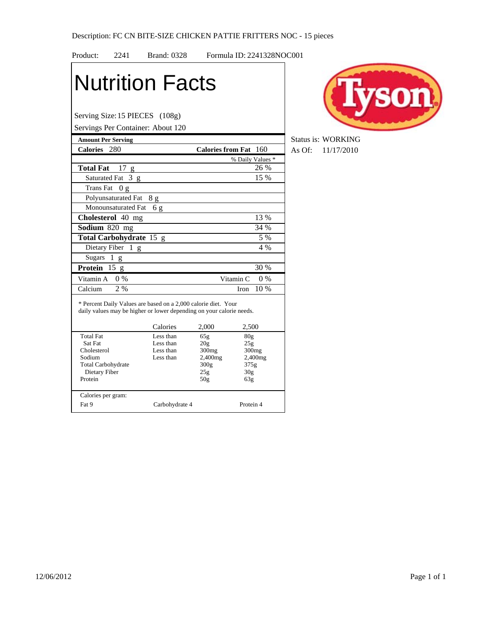| Product:                  | 2241                     | <b>Brand: 0328</b>                                                                                                                     |                       |                        | Formula ID: 2241328NOC001 |      |
|---------------------------|--------------------------|----------------------------------------------------------------------------------------------------------------------------------------|-----------------------|------------------------|---------------------------|------|
|                           |                          | <b>Nutrition Facts</b>                                                                                                                 |                       |                        |                           |      |
|                           |                          | Serving Size: 15 PIECES (108g)                                                                                                         |                       |                        |                           |      |
|                           |                          | Servings Per Container: About 120                                                                                                      |                       |                        |                           |      |
| <b>Amount Per Serving</b> |                          |                                                                                                                                        |                       |                        |                           | Stat |
| Calories 280              |                          |                                                                                                                                        | Calories from Fat 160 |                        |                           | As ( |
|                           |                          |                                                                                                                                        |                       |                        | % Daily Values *          |      |
| <b>Total Fat</b>          | 17 g                     |                                                                                                                                        |                       |                        | 26 %                      |      |
|                           | Saturated Fat 3 g        |                                                                                                                                        |                       |                        | 15 %                      |      |
| <b>Trans Fat</b>          | 0 <sub>g</sub>           |                                                                                                                                        |                       |                        |                           |      |
|                           | Polyunsaturated Fat      | 8g                                                                                                                                     |                       |                        |                           |      |
|                           | Monounsaturated Fat      | 6g                                                                                                                                     |                       |                        |                           |      |
|                           | <b>Cholesterol</b> 40 mg |                                                                                                                                        |                       |                        | 13 %                      |      |
| Sodium 820 mg             |                          |                                                                                                                                        |                       |                        | 34 %                      |      |
|                           | Total Carbohydrate 15 g  |                                                                                                                                        |                       |                        | 5 %                       |      |
|                           | Dietary Fiber 1 g        |                                                                                                                                        |                       |                        | 4 %                       |      |
| <b>Sugars</b>             | 1 g                      |                                                                                                                                        |                       |                        |                           |      |
| Protein $15 g$            |                          |                                                                                                                                        |                       |                        | 30 %                      |      |
|                           |                          |                                                                                                                                        |                       |                        |                           |      |
| Vitamin A                 | $0\%$                    |                                                                                                                                        |                       | Vitamin C              | $0\%$                     |      |
| Calcium                   | 2%                       |                                                                                                                                        |                       | Iron                   | $10\%$                    |      |
|                           |                          | * Percent Daily Values are based on a 2,000 calorie diet. Your<br>daily values may be higher or lower depending on your calorie needs. |                       |                        |                           |      |
|                           |                          | Calories                                                                                                                               | 2,000                 | 2,500                  |                           |      |
| <b>Total Fat</b>          |                          | Less than                                                                                                                              | 65g                   | 80 <sub>g</sub>        |                           |      |
| Sat Fat<br>Cholesterol    |                          | Less than<br>Less than                                                                                                                 | 20g<br>300mg          | 25g                    | 300 <sub>mg</sub>         |      |
| Sodium                    |                          | Less than                                                                                                                              | 2,400mg               |                        | 2,400mg                   |      |
| <b>Total Carbohydrate</b> |                          |                                                                                                                                        | 300g                  | 375g                   |                           |      |
| Dietary Fiber<br>Protein  |                          |                                                                                                                                        | 25g<br>50g            | 30 <sub>g</sub><br>63g |                           |      |
| Calories per gram:        |                          |                                                                                                                                        |                       |                        |                           |      |
| Fat 9                     |                          | Carbohydrate 4                                                                                                                         |                       | Protein 4              |                           |      |



**Status is: WORKING Calories 48** Of: 11/17/2010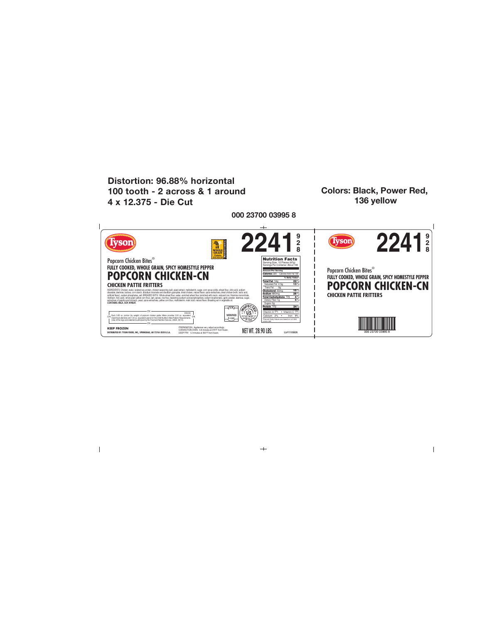

 $+$ 

 $\overline{\phantom{a}}$ 

 $\mathsf I$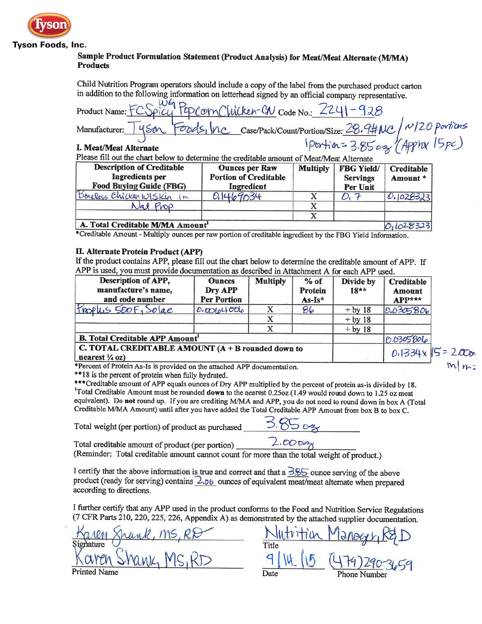

## **Tyson Foods, Inc.**

# Sample Product Formulation Statement (Product Analysis) for Meat/Meat Alternate (M/MA) **Products**

Child Nutrition Program operators should include a copy of the label from the purchased product carton in addition to the following information on letterhead signed by an official company representative.

EDCOMCWicken-CN Code No.: 2241-928 Product Name: 1 Case/Pack/Count/Portion/Size: 28.9#NC / M/20 portions<br>1Portion=3.8502 (Appinx 15pc) Manufacturer:  $\sigma_{DQ}$ I. Meat/Meat Alternate

Please fill out the chart below to determine the creditable amount of Meat/Me

| <b>Description of Creditable</b><br><b>Ingredients</b> per<br><b>Food Buying Guide (FBG)</b> | <b>Ounces per Raw</b><br><b>Portion of Creditable</b><br>Ingredient | <b>Multiply</b> | <b>FBG Yield/</b><br><b>Servings</b><br>Per Unit | <b>Creditable</b><br>Amount * |
|----------------------------------------------------------------------------------------------|---------------------------------------------------------------------|-----------------|--------------------------------------------------|-------------------------------|
| Boneless Chicken WISKin in                                                                   | 0.1469034                                                           |                 |                                                  | 0.1028323                     |
| Nat. Prop.                                                                                   |                                                                     |                 |                                                  |                               |
|                                                                                              |                                                                     |                 |                                                  |                               |
| A. Total Creditable M/MA Amount <sup>1</sup>                                                 |                                                                     |                 |                                                  | $O_11028323$                  |

\*Creditable Amount - Multiply ounces per raw portion of creditable ingredient by the FBG Yield Information.

# II. Alternate Protein Product (APP)

If the product contains APP, please fill out the chart below to determine the creditable amount of APP. If APP is used, you must provide documentation as described in Attachment A for each APP used.

| Description of APP,<br>manufacture's name,<br>and code number                    | <b>Ounces</b><br>Dry APP<br><b>Per Portion</b> | <b>Multiply</b> | $%$ of<br><b>Protein</b><br>$As-Is*$ | Divide by<br>$18**$ | <b>Creditable</b><br>Amount<br>$APP***$ |
|----------------------------------------------------------------------------------|------------------------------------------------|-----------------|--------------------------------------|---------------------|-----------------------------------------|
| thoplus 500F, Solae                                                              | 0.00104006                                     |                 | 86                                   | $\div$ by 18        | 0.0305806                               |
|                                                                                  |                                                |                 |                                      | $\div$ by 18        |                                         |
|                                                                                  |                                                |                 |                                      | $\div$ by 18        |                                         |
| <b>B.</b> Total Creditable APP Amount <sup>1</sup>                               |                                                |                 |                                      |                     | 0.0305806                               |
| C. TOTAL CREDITABLE AMOUNT $(A + B$ rounded down to<br>nearest $\frac{1}{4}$ oz) |                                                |                 |                                      |                     | 0.1334x 15=                             |

Percent of Protein As-Is is provided on the attached APP documentation.

\*\*18 is the percent of protein when fully hydrated.

\*\*\* Creditable amount of APP equals ounces of Dry APP multiplied by the percent of protein as-is divided by 18. <sup>1</sup>Total Creditable Amount must be rounded down to the nearest 0.25oz (1.49 would round down to 1.25 oz meat equivalent). Do not round up. If you are crediting M/MA and APP, you do not need to round down in box A (Total Creditable M/MA Amount) until after you have added the Total Creditable APP Amount from box B to box C.

Total weight (per portion) of product as purchased

| - 1 | $\sim$ |  |
|-----|--------|--|
|     |        |  |

Total creditable amount of product (per portion)

 $2.00$   $cm$ 

(Reminder: Total creditable amount cannot count for more than the total weight of product.)

I certify that the above information is true and correct and that a  $\frac{3.85}{1.85}$  ounce serving of the above product (ready for serving) contains 2.06 ounces of equivalent meat/meat alternate when prepared according to directions.

I further certify that any APP used in the product conforms to the Food and Nutrition Service Regulations (7 CFR Parts 210, 220, 225, 226, Appendix A) as demonstrated by the attached supplier documentation.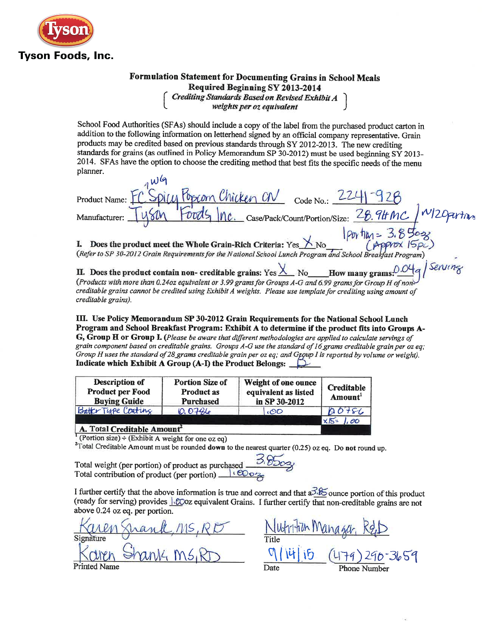

# Formulation Statement for Documenting Grains in School Meals Required Beginning SY 2013-2014 Crediting Standards Based on Revised Exhibit A<br>weights per oz equivalent

School Food Authorities (SFAs) should include a copy of the label from the purchased product carton in addition to the following information on letterhead signed by an official company representative. Grain products may be credited based on previous standards through SY 2012-2013. The new crediting standards for grains (as outlined in Policy Memorandum SP 30-2012) must be used beginning  $SY$  2013-2014. SFAs have the option to choose the crediting method that best fits the specific needs of the menu planner.

 $224 - 928$ Dieu Pobcom Chicken CN Product Name: Manufacturer:  $Tysin$   $Fords$   $mc$   $Case/Pack/Count/Portion/Size$ :  $28.9HMC$ <br>
1. Does the product meet the Whole Grain-Rich Criteria: Yes  $X_{No}$  (Approx  $15p$ )<br>
(Refer to SP 30-2012 Grain Requirements for the National School Lunch Program and Sc

How many grams:  $0.04$  q | Serving II. Does the product contain non- creditable grains: Yes  $\frac{\chi}{\chi}$  No (Products with more than 0.24oz equivalent or 3.99 grams for Groups A-G and 6.99 grams for Group H of noncreditable grains cannot be credited using Exhibit A weights. Please use template for crediting using amount of creditable grains).

III. Use Policy Memorandum SP 30-2012 Grain Requirements for the National School Lunch Program and School Breakfast Program: Exhibit A to determine if the product fits into Groups A- $G$ .  $\tilde{G}$ roup  $H$  or  $G$ roup  $I$ . (Please be aware that different methodologies are applied to calculate servings of grain component based on creditable grains. Groups A-G use the standard of 16 grams creditable grain per oz eq; Group H uses the standard of 28 grams creditable grain per oz eq; and Group I is reported by volume or weight). Indicate which Exhibit A Group (A-I) the Product Belongs:  $\Box$ 

| <b>Description of</b><br><b>Product per Food</b><br><b>Buying Guide</b> | <b>Portion Size of</b><br><b>Product as</b><br>Purchased | <b>Weight of one ounce</b><br>equivalent as listed<br>in SP 30-2012 | <b>Creditable</b><br>Amount |
|-------------------------------------------------------------------------|----------------------------------------------------------|---------------------------------------------------------------------|-----------------------------|
| Batter Tupe Conting                                                     | <b>10.0786</b>                                           | C <sub>1</sub>                                                      | 0.0186                      |
| Total Craditable Amount                                                 |                                                          |                                                                     | $X15=$<br>. 00              |

untable Amount

(Portion size) ÷ (Exhibit A weight for one oz eq)

 $2$ Total Creditable Amount must be rounded down to the nearest quarter (0.25) oz eq. Do not round up.

Total weight (per portion) of product as purchased Total contribution of product (per portion) le COO2

I further certify that the above information is true and correct and that  $a\overline{3} \partial \overline{5}$  ounce portion of this product (ready for serving) provides *SCoz* equivalent Grains. I further certify that non-creditable grains are not above 0.24 oz eq. per portion.

ank, MS, RDT

 $|V||$  15